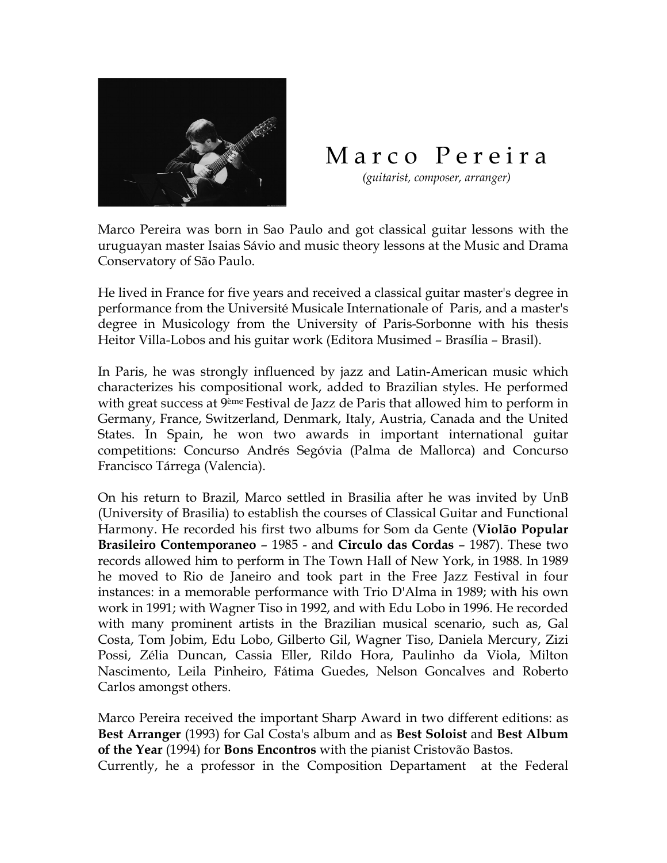

## Marco Pereira

 *(guitarist, composer, arranger)*

Marco Pereira was born in Sao Paulo and got classical guitar lessons with the uruguayan master Isaias Sávio and music theory lessons at the Music and Drama Conservatory of São Paulo.

He lived in France for five years and received a classical guitar master's degree in performance from the Université Musicale Internationale of Paris, and a master's degree in Musicology from the University of Paris-Sorbonne with his thesis Heitor Villa-Lobos and his guitar work (Editora Musimed – Brasília – Brasil).

In Paris, he was strongly influenced by jazz and Latin-American music which characterizes his compositional work, added to Brazilian styles. He performed with great success at 9<sup>ème</sup> Festival de Jazz de Paris that allowed him to perform in Germany, France, Switzerland, Denmark, Italy, Austria, Canada and the United States. In Spain, he won two awards in important international guitar competitions: Concurso Andrés Segóvia (Palma de Mallorca) and Concurso Francisco Tárrega (Valencia).

On his return to Brazil, Marco settled in Brasilia after he was invited by UnB (University of Brasilia) to establish the courses of Classical Guitar and Functional Harmony. He recorded his first two albums for Som da Gente (**Violão Popular Brasileiro Contemporaneo** – 1985 - and **Circulo das Cordas** – 1987). These two records allowed him to perform in The Town Hall of New York, in 1988. In 1989 he moved to Rio de Janeiro and took part in the Free Jazz Festival in four instances: in a memorable performance with Trio D'Alma in 1989; with his own work in 1991; with Wagner Tiso in 1992, and with Edu Lobo in 1996. He recorded with many prominent artists in the Brazilian musical scenario, such as, Gal Costa, Tom Jobim, Edu Lobo, Gilberto Gil, Wagner Tiso, Daniela Mercury, Zizi Possi, Zélia Duncan, Cassia Eller, Rildo Hora, Paulinho da Viola, Milton Nascimento, Leila Pinheiro, Fátima Guedes, Nelson Goncalves and Roberto Carlos amongst others.

Marco Pereira received the important Sharp Award in two different editions: as **Best Arranger** (1993) for Gal Costa's album and as **Best Soloist** and **Best Album of the Year** (1994) for **Bons Encontros** with the pianist Cristovão Bastos. Currently, he a professor in the Composition Departament at the Federal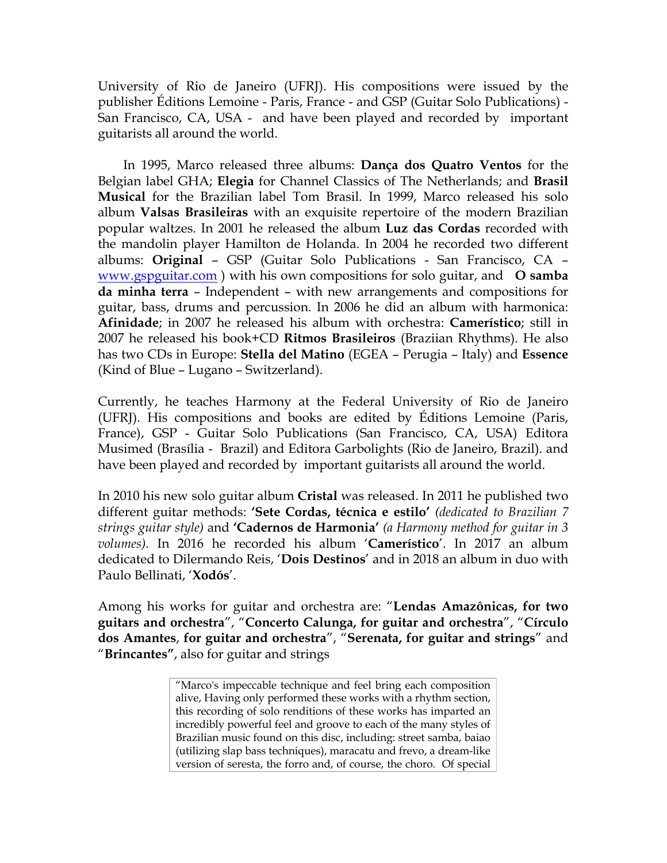University of Rio de Janeiro (UFRJ). His compositions were issued by the publisher Éditions Lemoine - Paris, France - and GSP (Guitar Solo Publications) - San Francisco, CA, USA - and have been played and recorded by important guitarists all around the world.

In 1995, Marco released three albums: **Dança dos Quatro Ventos** for the Belgian label GHA; **Elegia** for Channel Classics of The Netherlands; and **Brasil Musical** for the Brazilian label Tom Brasil. In 1999, Marco released his solo album **Valsas Brasileiras** with an exquisite repertoire of the modern Brazilian popular waltzes. In 2001 he released the album **Luz das Cordas** recorded with the mandolin player Hamilton de Holanda. In 2004 he recorded two different albums: **Original** – GSP (Guitar Solo Publications - San Francisco, CA – www.gspguitar.com ) with his own compositions for solo guitar, and **O samba da minha terra** – Independent – with new arrangements and compositions for guitar, bass, drums and percussion. In 2006 he did an album with harmonica: **Afinidade**; in 2007 he released his album with orchestra: **Camerístico**; still in 2007 he released his book+CD **Ritmos Brasileiros** (Braziian Rhythms). He also has two CDs in Europe: **Stella del Matino** (EGEA – Perugia – Italy) and **Essence**  (Kind of Blue – Lugano – Switzerland).

Currently, he teaches Harmony at the Federal University of Rio de Janeiro (UFRJ). His compositions and books are edited by Éditions Lemoine (Paris, France), GSP - Guitar Solo Publications (San Francisco, CA, USA) Editora Musimed (Brasília - Brazil) and Editora Garbolights (Rio de Janeiro, Brazil). and have been played and recorded by important guitarists all around the world.

In 2010 his new solo guitar album **Cristal** was released. In 2011 he published two different guitar methods: **'Sete Cordas, técnica e estilo'** *(dedicated to Brazilian 7 strings guitar style)* and **'Cadernos de Harmonia'** *(a Harmony method for guitar in 3 volumes).* In 2016 he recorded his album '**Camerístico**'. In 2017 an album dedicated to Dilermando Reis, '**Dois Destinos**' and in 2018 an album in duo with Paulo Bellinati, '**Xodós**'.

Among his works for guitar and orchestra are: "**Lendas Amazônicas, for two guitars and orchestra**", "**Concerto Calunga, for guitar and orchestra**", "**Círculo dos Amantes**, **for guitar and orchestra**", "**Serenata, for guitar and strings**" and "**Brincantes"**, also for guitar and strings

> "Marco's impeccable technique and feel bring each composition alive, Having only performed these works with a rhythm section, this recording of solo renditions of these works has imparted an incredibly powerful feel and groove to each of the many styles of Brazilian music found on this disc, including: street samba, baiao (utilizing slap bass techniques), maracatu and frevo, a dream-like version of seresta, the forro and, of course, the choro. Of special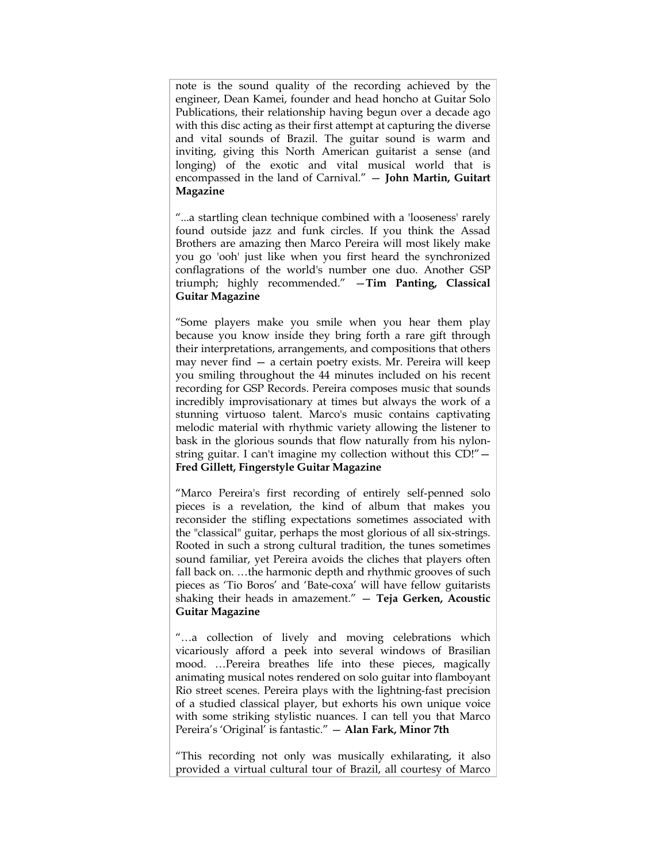note is the sound quality of the recording achieved by the engineer, Dean Kamei, founder and head honcho at Guitar Solo Publications, their relationship having begun over a decade ago with this disc acting as their first attempt at capturing the diverse and vital sounds of Brazil. The guitar sound is warm and inviting, giving this North American guitarist a sense (and longing) of the exotic and vital musical world that is encompassed in the land of Carnival." — **John Martin, Guitart Magazine**

"...a startling clean technique combined with a 'looseness' rarely found outside jazz and funk circles. If you think the Assad Brothers are amazing then Marco Pereira will most likely make you go 'ooh' just like when you first heard the synchronized conflagrations of the world's number one duo. Another GSP triumph; highly recommended." —**Tim Panting, Classical Guitar Magazine**

"Some players make you smile when you hear them play because you know inside they bring forth a rare gift through their interpretations, arrangements, and compositions that others may never find — a certain poetry exists. Mr. Pereira will keep you smiling throughout the 44 minutes included on his recent recording for GSP Records. Pereira composes music that sounds incredibly improvisationary at times but always the work of a stunning virtuoso talent. Marco's music contains captivating melodic material with rhythmic variety allowing the listener to bask in the glorious sounds that flow naturally from his nylonstring guitar. I can't imagine my collection without this CD!"— **Fred Gillett, Fingerstyle Guitar Magazine** 

"Marco Pereira's first recording of entirely self-penned solo pieces is a revelation, the kind of album that makes you reconsider the stifling expectations sometimes associated with the "classical" guitar, perhaps the most glorious of all six-strings. Rooted in such a strong cultural tradition, the tunes sometimes sound familiar, yet Pereira avoids the cliches that players often fall back on. …the harmonic depth and rhythmic grooves of such pieces as 'Tio Boros' and 'Bate-coxa' will have fellow guitarists shaking their heads in amazement." — **Teja Gerken, Acoustic Guitar Magazine**

"…a collection of lively and moving celebrations which vicariously afford a peek into several windows of Brasilian mood. …Pereira breathes life into these pieces, magically animating musical notes rendered on solo guitar into flamboyant Rio street scenes. Pereira plays with the lightning-fast precision of a studied classical player, but exhorts his own unique voice with some striking stylistic nuances. I can tell you that Marco Pereira's 'Original' is fantastic." — **Alan Fark, Minor 7th** 

"This recording not only was musically exhilarating, it also provided a virtual cultural tour of Brazil, all courtesy of Marco